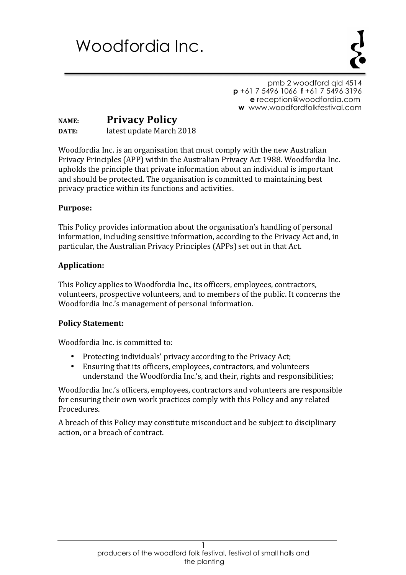# Woodfordia Inc.

pmb 2 woodford qld 4514 **p** +61 7 5496 1066 **f** +61 7 5496 3196  **e** reception@woodfordia.com **w** www.woodfordfolkfestival.com

## **NAME: Privacy Policy DATE:** latest update March 2018

Woodfordia Inc. is an organisation that must comply with the new Australian Privacy Principles (APP) within the Australian Privacy Act 1988. Woodfordia Inc. upholds the principle that private information about an individual is important and should be protected. The organisation is committed to maintaining best privacy practice within its functions and activities.

#### **Purpose:**

This Policy provides information about the organisation's handling of personal information, including sensitive information, according to the Privacy Act and, in particular, the Australian Privacy Principles (APPs) set out in that Act.

#### **Application:**

This Policy applies to Woodfordia Inc., its officers, employees, contractors, volunteers, prospective volunteers, and to members of the public. It concerns the Woodfordia Inc.'s management of personal information.

#### **Policy Statement:**

Woodfordia Inc. is committed to:

- Protecting individuals' privacy according to the Privacy Act;
- Ensuring that its officers, employees, contractors, and volunteers understand the Woodfordia Inc.'s, and their, rights and responsibilities;

Woodfordia Inc.'s officers, employees, contractors and volunteers are responsible for ensuring their own work practices comply with this Policy and any related Procedures.

A breach of this Policy may constitute misconduct and be subject to disciplinary action, or a breach of contract.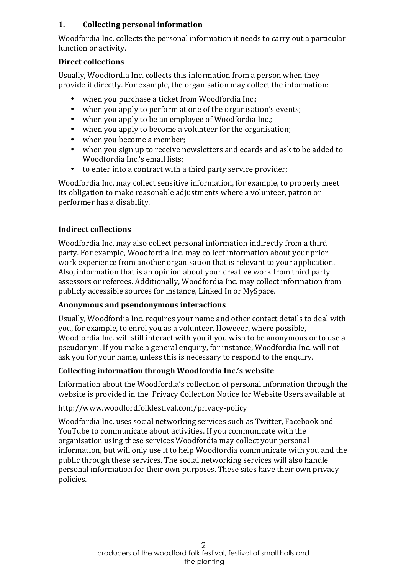## **1. Collecting personal information**

Woodfordia Inc. collects the personal information it needs to carry out a particular function or activity.

## **Direct collections**

Usually, Woodfordia Inc. collects this information from a person when they provide it directly. For example, the organisation may collect the information:

- when you purchase a ticket from Woodfordia Inc.;
- when you apply to perform at one of the organisation's events;
- when you apply to be an employee of Woodfordia Inc.:
- when you apply to become a volunteer for the organisation;
- when you become a member;
- when you sign up to receive newsletters and ecards and ask to be added to Woodfordia Inc.'s email lists;
- $\bullet$  to enter into a contract with a third party service provider;

Woodfordia Inc. may collect sensitive information, for example, to properly meet its obligation to make reasonable adjustments where a volunteer, patron or performer has a disability.

# **Indirect collections**

Woodfordia Inc. may also collect personal information indirectly from a third party. For example, Woodfordia Inc. may collect information about your prior work experience from another organisation that is relevant to your application. Also, information that is an opinion about your creative work from third party assessors or referees. Additionally, Woodfordia Inc. may collect information from publicly accessible sources for instance, Linked In or MySpace.

# **Anonymous and pseudonymous interactions**

Usually, Woodfordia Inc. requires your name and other contact details to deal with you, for example, to enrol you as a volunteer. However, where possible, Woodfordia Inc. will still interact with you if you wish to be anonymous or to use a pseudonym. If you make a general enquiry, for instance, Woodfordia Inc. will not ask you for your name, unless this is necessary to respond to the enquiry.

# **Collecting information through Woodfordia Inc.'s website**

Information about the Woodfordia's collection of personal information through the website is provided in the Privacy Collection Notice for Website Users available at

# http://www.woodfordfolkfestival.com/privacy-policy

Woodfordia Inc. uses social networking services such as Twitter, Facebook and YouTube to communicate about activities. If you communicate with the organisation using these services Woodfordia may collect your personal information, but will only use it to help Woodfordia communicate with you and the public through these services. The social networking services will also handle personal information for their own purposes. These sites have their own privacy policies.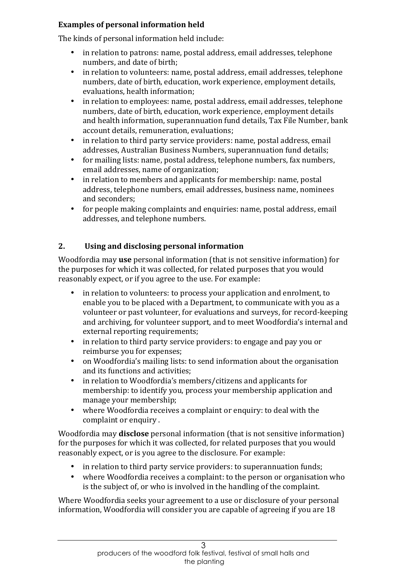## **Examples of personal information held**

The kinds of personal information held include:

- in relation to patrons: name, postal address, email addresses, telephone numbers, and date of birth;
- in relation to volunteers: name, postal address, email addresses, telephone numbers, date of birth, education, work experience, employment details, evaluations, health information;
- in relation to employees: name, postal address, email addresses, telephone numbers, date of birth, education, work experience, employment details and health information, superannuation fund details, Tax File Number, bank account details, remuneration, evaluations;
- in relation to third party service providers: name, postal address, email addresses, Australian Business Numbers, superannuation fund details;
- for mailing lists: name, postal address, telephone numbers, fax numbers, email addresses, name of organization;
- in relation to members and applicants for membership: name, postal address, telephone numbers, email addresses, business name, nominees and seconders;
- for people making complaints and enquiries: name, postal address, email addresses, and telephone numbers.

# **2. Using and disclosing personal information**

Woodfordia may **use** personal information (that is not sensitive information) for the purposes for which it was collected, for related purposes that you would reasonably expect, or if you agree to the use. For example:

- in relation to volunteers: to process your application and enrolment, to enable you to be placed with a Department, to communicate with you as a volunteer or past volunteer, for evaluations and surveys, for record-keeping and archiving, for volunteer support, and to meet Woodfordia's internal and external reporting requirements;
- in relation to third party service providers: to engage and pay you or reimburse you for expenses;
- on Woodfordia's mailing lists: to send information about the organisation and its functions and activities;
- in relation to Woodfordia's members/citizens and applicants for membership: to identify you, process your membership application and manage your membership;
- where Woodfordia receives a complaint or enquiry: to deal with the complaint or enquiry.

Woodfordia may **disclose** personal information (that is not sensitive information) for the purposes for which it was collected, for related purposes that you would reasonably expect, or is you agree to the disclosure. For example:

- in relation to third party service providers: to superannuation funds;
- where Woodfordia receives a complaint: to the person or organisation who is the subject of, or who is involved in the handling of the complaint.

Where Woodfordia seeks your agreement to a use or disclosure of your personal information, Woodfordia will consider you are capable of agreeing if you are 18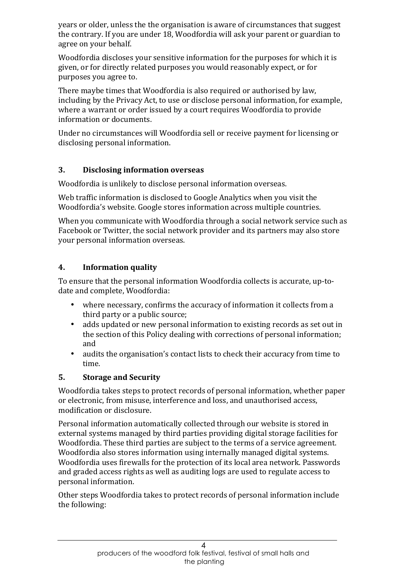years or older, unless the the organisation is aware of circumstances that suggest the contrary. If you are under 18, Woodfordia will ask your parent or guardian to agree on your behalf.

Woodfordia discloses your sensitive information for the purposes for which it is given, or for directly related purposes you would reasonably expect, or for purposes you agree to.

There maybe times that Woodfordia is also required or authorised by law, including by the Privacy Act, to use or disclose personal information, for example, where a warrant or order issued by a court requires Woodfordia to provide information or documents.

Under no circumstances will Woodfordia sell or receive payment for licensing or disclosing personal information.

## **3. Disclosing information overseas**

Woodfordia is unlikely to disclose personal information overseas.

Web traffic information is disclosed to Google Analytics when you visit the Woodfordia's website. Google stores information across multiple countries.

When you communicate with Woodfordia through a social network service such as Facebook or Twitter, the social network provider and its partners may also store your personal information overseas.

#### **4. Information quality**

To ensure that the personal information Woodfordia collects is accurate, up-todate and complete, Woodfordia:

- where necessary, confirms the accuracy of information it collects from a third party or a public source;
- adds updated or new personal information to existing records as set out in the section of this Policy dealing with corrections of personal information; and
- audits the organisation's contact lists to check their accuracy from time to time.

#### **5.** Storage and Security

Woodfordia takes steps to protect records of personal information, whether paper or electronic, from misuse, interference and loss, and unauthorised access, modification or disclosure.

Personal information automatically collected through our website is stored in external systems managed by third parties providing digital storage facilities for Woodfordia. These third parties are subject to the terms of a service agreement. Woodfordia also stores information using internally managed digital systems. Woodfordia uses firewalls for the protection of its local area network. Passwords and graded access rights as well as auditing logs are used to regulate access to personal information.

Other steps Woodfordia takes to protect records of personal information include the following: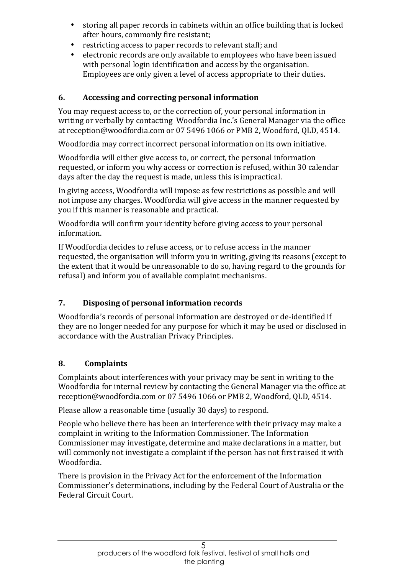- storing all paper records in cabinets within an office building that is locked after hours, commonly fire resistant;
- restricting access to paper records to relevant staff; and
- electronic records are only available to employees who have been issued with personal login identification and access by the organisation. Employees are only given a level of access appropriate to their duties.

## **6.** Accessing and correcting personal information

You may request access to, or the correction of, your personal information in writing or verbally by contacting Woodfordia Inc.'s General Manager via the office at reception@woodfordia.com or 07 5496 1066 or PMB 2, Woodford, QLD, 4514.

Woodfordia may correct incorrect personal information on its own initiative.

Woodfordia will either give access to, or correct, the personal information requested, or inform you why access or correction is refused, within 30 calendar days after the day the request is made, unless this is impractical.

In giving access, Woodfordia will impose as few restrictions as possible and will not impose any charges. Woodfordia will give access in the manner requested by you if this manner is reasonable and practical.

Woodfordia will confirm your identity before giving access to your personal information.

If Woodfordia decides to refuse access, or to refuse access in the manner requested, the organisation will inform you in writing, giving its reasons (except to the extent that it would be unreasonable to do so, having regard to the grounds for refusal) and inform you of available complaint mechanisms.

# **7. Disposing of personal information records**

Woodfordia's records of personal information are destroyed or de-identified if they are no longer needed for any purpose for which it may be used or disclosed in accordance with the Australian Privacy Principles.

# **8. Complaints**

Complaints about interferences with your privacy may be sent in writing to the Woodfordia for internal review by contacting the General Manager via the office at reception@woodfordia.com or 07 5496 1066 or PMB 2, Woodford, QLD, 4514.

Please allow a reasonable time (usually 30 days) to respond.

People who believe there has been an interference with their privacy may make a complaint in writing to the Information Commissioner. The Information Commissioner may investigate, determine and make declarations in a matter, but will commonly not investigate a complaint if the person has not first raised it with Woodfordia.

There is provision in the Privacy Act for the enforcement of the Information Commissioner's determinations, including by the Federal Court of Australia or the Federal Circuit Court.